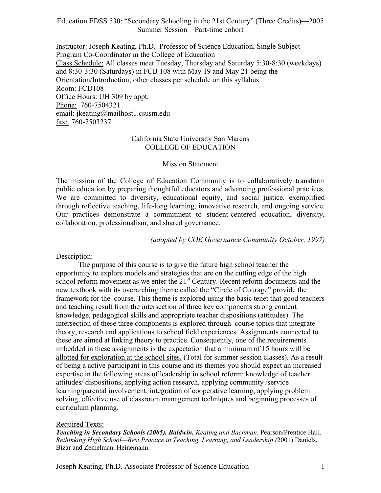Education EDSS 530: "Secondary Schooling in the 21st Century" (Three Credits)—2005 Summer Session—Part-time cohort

Instructor: Joseph Keating, Ph.D. Professor of Science Education, Single Subject Program Co-Coordinator in the College of Education Class Schedule: All classes meet Tuesday, Thursday and Saturday 5:30-8:30 (weekdays) and 8:30-3:30 (Saturdays) in FCB 108 with May 19 and May 21 being the Orientation/Introduction; other classes per schedule on this syllabus Room: FCD108 Office Hours: UH 309 by appt. Phone: 760-7504321 email: jkeating@mailhost1.csusm.edu fax: 760-7503237

### California State University San Marcos COLLEGE OF EDUCATION

#### Mission Statement

The mission of the College of Education Community is to collaboratively transform public education by preparing thoughtful educators and advancing professional practices. We are committed to diversity, educational equity, and social justice, exemplified through reflective teaching, life-long learning, innovative research, and ongoing service. Our practices demonstrate a commitment to student-centered education, diversity, collaboration, professionalism, and shared governance.

*(adopted by COE Governance Community October, 1997)*

Description:

The purpose of this course is to give the future high school teacher the opportunity to explore models and strategies that are on the cutting edge of the high school reform movement as we enter the 21<sup>st</sup> Century. Recent reform documents and the new textbook with its overarching theme called the "Circle of Courage" provide the framework for the course. This theme is explored using the basic tenet that good teachers and teaching result from the intersection of three key components strong content knowledge, pedagogical skills and appropriate teacher dispositions (attitudes). The intersection of these three components is explored through course topics that integrate theory, research and applications to school field experiences. Assignments connected to these are aimed at linking theory to practice. Consequently, one of the requirements imbedded in these assignments is the expectation that a minimum of 15 hours will be allotted for exploration at the school sites. (Total for summer session classes). As a result of being a active participant in this course and its themes you should expect an increased expertise in the following areas of leadership in school reform: knowledge of teacher attitudes/ dispositions, applying action research, applying community /service learning/parental involvement, integration of cooperative learning, applying problem solving, effective use of classroom management techniques and beginning processes of curriculum planning.

### Required Texts:

*Teaching in Secondary Schools (2005). Baldwin, Keating and Bachman.* Pearson/Prentice Hall. *Rethinking High School—Best Practice in Teaching, Learning, and Leadership (*2001) Daniels, Bizar and Zemelman. Heinemann.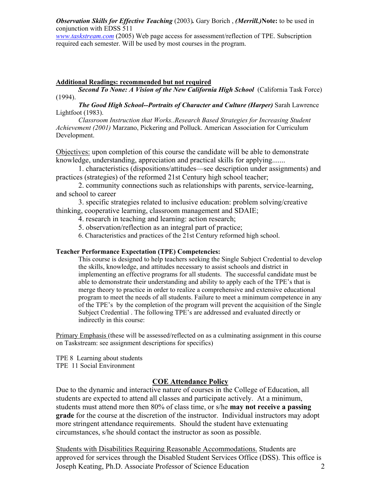*Observation Skills for Effective Teaching* (2003)*.* Gary Borich , *(Merrill.)***Note:** to be used in conjunction with EDSS 511

*www.taskstream.com* (2005) Web page access for assessment/reflection of TPE. Subscription required each semester. Will be used by most courses in the program.

#### **Additional Readings: recommended but not required**

*Second To None: A Vision of the New California High School* (California Task Force) (1994).

*The Good High School--Portraits of Character and Culture (Harper)* Sarah Lawrence Lightfoot (1983).

*Classroom Instruction that Works..Research Based Strategies for Increasing Student Achievement (2001)* Marzano, Pickering and Polluck. American Association for Curriculum Development.

Objectives: upon completion of this course the candidate will be able to demonstrate knowledge, understanding, appreciation and practical skills for applying.......

 1. characteristics (dispositions/attitudes—see description under assignments) and practices (strategies) of the reformed 21st Century high school teacher;

 2. community connections such as relationships with parents, service-learning, and school to career

 3. specific strategies related to inclusive education: problem solving/creative thinking, cooperative learning, classroom management and SDAIE;

4. research in teaching and learning: action research;

5. observation/reflection as an integral part of practice;

6. Characteristics and practices of the 21st Century reformed high school.

#### **Teacher Performance Expectation (TPE) Competencies:**

This course is designed to help teachers seeking the Single Subject Credential to develop the skills, knowledge, and attitudes necessary to assist schools and district in implementing an effective programs for all students. The successful candidate must be able to demonstrate their understanding and ability to apply each of the TPE's that is merge theory to practice in order to realize a comprehensive and extensive educational program to meet the needs of all students. Failure to meet a minimum competence in any of the TPE's by the completion of the program will prevent the acquisition of the Single Subject Credential . The following TPE's are addressed and evaluated directly or indirectly in this course:

Primary Emphasis (these will be assessed/reflected on as a culminating assignment in this course on Taskstream: see assignment descriptions for specifics)

TPE 8 Learning about students TPE 11 Social Environment

#### **COE Attendance Policy**

Due to the dynamic and interactive nature of courses in the College of Education, all students are expected to attend all classes and participate actively. At a minimum, students must attend more then 80% of class time, or s/he **may not receive a passing grade** for the course at the discretion of the instructor. Individual instructors may adopt more stringent attendance requirements. Should the student have extenuating circumstances, s/he should contact the instructor as soon as possible.

Joseph Keating, Ph.D. Associate Professor of Science Education 2 Students with Disabilities Requiring Reasonable Accommodations. Students are approved for services through the Disabled Student Services Office (DSS). This office is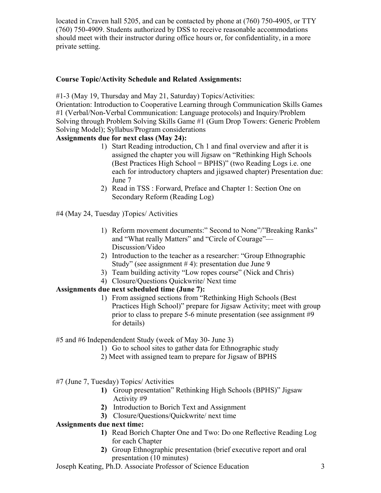located in Craven hall 5205, and can be contacted by phone at (760) 750-4905, or TTY (760) 750-4909. Students authorized by DSS to receive reasonable accommodations should meet with their instructor during office hours or, for confidentiality, in a more private setting.

### **Course Topic/Activity Schedule and Related Assignments:**

#1-3 (May 19, Thursday and May 21, Saturday) Topics/Activities:

Orientation: Introduction to Cooperative Learning through Communication Skills Games #1 (Verbal/Non-Verbal Communication: Language protocols) and Inquiry/Problem Solving through Problem Solving Skills Game #1 (Gum Drop Towers: Generic Problem Solving Model); Syllabus/Program considerations

# **Assignments due for next class (May 24):**

- 1) Start Reading introduction, Ch 1 and final overview and after it is assigned the chapter you will Jigsaw on "Rethinking High Schools (Best Practices High School = BPHS)" (two Reading Logs i.e. one each for introductory chapters and jigsawed chapter) Presentation due: June 7
- 2) Read in TSS : Forward, Preface and Chapter 1: Section One on Secondary Reform (Reading Log)
- #4 (May 24, Tuesday )Topics/ Activities
	- 1) Reform movement documents:" Second to None"/"Breaking Ranks" and "What really Matters" and "Circle of Courage"— Discussion/Video
	- 2) Introduction to the teacher as a researcher: "Group Ethnographic Study" (see assignment  $# 4$ ): presentation due June 9
	- 3) Team building activity "Low ropes course" (Nick and Chris)
	- 4) Closure/Questions Quickwrite/ Next time

# **Assignments due next scheduled time (June 7):**

1) From assigned sections from "Rethinking High Schools (Best Practices High School)" prepare for Jigsaw Activity; meet with group prior to class to prepare 5-6 minute presentation (see assignment #9 for details)

#5 and #6 Independendent Study (week of May 30- June 3)

- 1) Go to school sites to gather data for Ethnographic study
- 2) Meet with assigned team to prepare for Jigsaw of BPHS

#7 (June 7, Tuesday) Topics/ Activities

- **1)** Group presentation" Rethinking High Schools (BPHS)" Jigsaw Activity #9
- **2)** Introduction to Borich Text and Assignment
- **3)** Closure/Questions/Quickwrite/ next time

# **Assignments due next time:**

- **1)** Read Borich Chapter One and Two: Do one Reflective Reading Log for each Chapter
- **2)** Group Ethnographic presentation (brief executive report and oral presentation (10 minutes)

Joseph Keating, Ph.D. Associate Professor of Science Education 3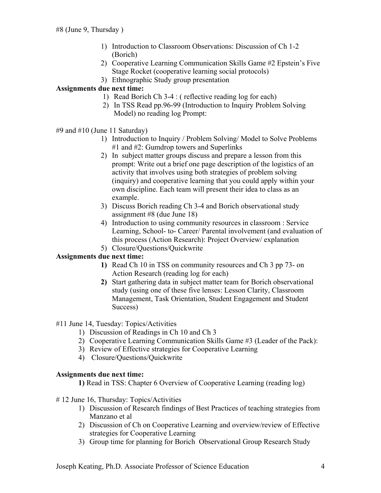- 1) Introduction to Classroom Observations: Discussion of Ch 1-2 (Borich)
- 2) Cooperative Learning Communication Skills Game #2 Epstein's Five Stage Rocket (cooperative learning social protocols)
- 3) Ethnographic Study group presentation

# **Assignments due next time:**

- 1) Read Borich Ch 3-4 : ( reflective reading log for each)
- 2) In TSS Read pp.96-99 (Introduction to Inquiry Problem Solving Model) no reading log Prompt:

#9 and #10 (June 11 Saturday)

- 1) Introduction to Inquiry / Problem Solving/ Model to Solve Problems #1 and #2: Gumdrop towers and Superlinks
- 2) In subject matter groups discuss and prepare a lesson from this prompt: Write out a brief one page description of the logistics of an activity that involves using both strategies of problem solving (inquiry) and cooperative learning that you could apply within your own discipline. Each team will present their idea to class as an example.
- 3) Discuss Borich reading Ch 3-4 and Borich observational study assignment #8 (due June 18)
- 4) Introduction to using community resources in classroom : Service Learning, School- to- Career/ Parental involvement (and evaluation of this process (Action Research): Project Overview/ explanation
- 5) Closure/Questions/Quickwrite

# **Assignments due next time:**

- **1)** Read Ch 10 in TSS on community resources and Ch 3 pp 73- on Action Research (reading log for each)
- **2)** Start gathering data in subject matter team for Borich observational study (using one of these five lenses: Lesson Clarity, Classroom Management, Task Orientation, Student Engagement and Student Success)

# #11 June 14, Tuesday: Topics/Activities

- 1) Discussion of Readings in Ch 10 and Ch 3
- 2) Cooperative Learning Communication Skills Game #3 (Leader of the Pack):
- 3) Review of Effective strategies for Cooperative Learning
- 4) Closure/Questions/Quickwrite

# **Assignments due next time:**

 **1)** Read in TSS: Chapter 6 Overview of Cooperative Learning (reading log)

- # 12 June 16, Thursday: Topics/Activities
	- 1) Discussion of Research findings of Best Practices of teaching strategies from Manzano et al
	- 2) Discussion of Ch on Cooperative Learning and overview/review of Effective strategies for Cooperative Learning
	- 3) Group time for planning for Borich Observational Group Research Study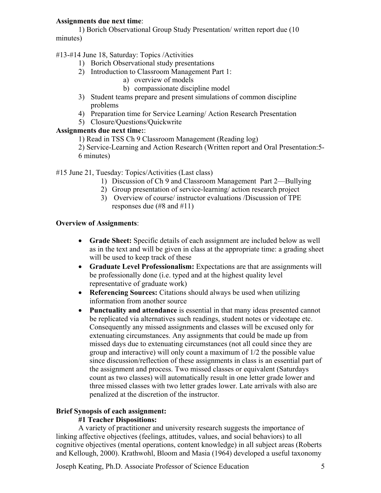### **Assignments due next time**:

1) Borich Observational Group Study Presentation/ written report due (10 minutes)

### #13-#14 June 18, Saturday: Topics /Activities

- 1) Borich Observational study presentations
- 2) Introduction to Classroom Management Part 1:
	- a) overview of models
	- b) compassionate discipline model
- 3) Student teams prepare and present simulations of common discipline problems
- 4) Preparation time for Service Learning/ Action Research Presentation
- 5) Closure/Questions/Quickwrite

### **Assignments due next time:**:

1) Read in TSS Ch 9 Classroom Management (Reading log)

2) Service-Learning and Action Research (Written report and Oral Presentation:5- 6 minutes)

### #15 June 21, Tuesday: Topics/Activities (Last class)

- 1) Discussion of Ch 9 and Classroom Management Part 2—Bullying
- 2) Group presentation of service-learning/ action research project
- 3) Overview of course/ instructor evaluations /Discussion of TPE responses due (#8 and #11)

### **Overview of Assignments**:

- **Grade Sheet:** Specific details of each assignment are included below as well as in the text and will be given in class at the appropriate time: a grading sheet will be used to keep track of these
- **Graduate Level Professionalism:** Expectations are that are assignments will be professionally done (i.e. typed and at the highest quality level representative of graduate work)
- **Referencing Sources:** Citations should always be used when utilizing information from another source
- **Punctuality and attendance** is essential in that many ideas presented cannot be replicated via alternatives such readings, student notes or videotape etc. Consequently any missed assignments and classes will be excused only for extenuating circumstances. Any assignments that could be made up from missed days due to extenuating circumstances (not all could since they are group and interactive) will only count a maximum of 1/2 the possible value since discussion/reflection of these assignments in class is an essential part of the assignment and process. Two missed classes or equivalent (Saturdays count as two classes) will automatically result in one letter grade lower and three missed classes with two letter grades lower. Late arrivals with also are penalized at the discretion of the instructor.

### **Brief Synopsis of each assignment:**

### **#1 Teacher Dispositions:**

A variety of practitioner and university research suggests the importance of linking affective objectives (feelings, attitudes, values, and social behaviors) to all cognitive objectives (mental operations, content knowledge) in all subject areas (Roberts and Kellough, 2000). Krathwohl, Bloom and Masia (1964) developed a useful taxonomy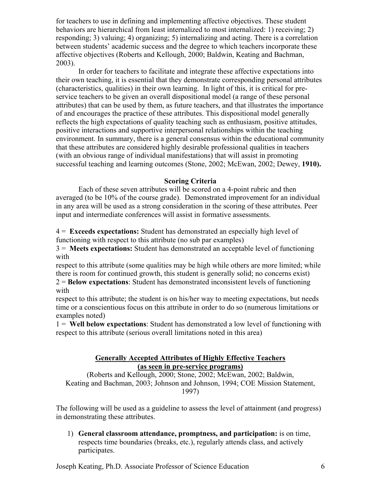for teachers to use in defining and implementing affective objectives. These student behaviors are hierarchical from least internalized to most internalized: 1) receiving; 2) responding; 3) valuing; 4) organizing; 5) internalizing and acting. There is a correlation between students' academic success and the degree to which teachers incorporate these affective objectives (Roberts and Kellough, 2000; Baldwin, Keating and Bachman, 2003).

In order for teachers to facilitate and integrate these affective expectations into their own teaching, it is essential that they demonstrate corresponding personal attributes (characteristics, qualities) in their own learning. In light of this, it is critical for preservice teachers to be given an overall dispositional model (a range of these personal attributes) that can be used by them, as future teachers, and that illustrates the importance of and encourages the practice of these attributes. This dispositional model generally reflects the high expectations of quality teaching such as enthusiasm, positive attitudes, positive interactions and supportive interpersonal relationships within the teaching environment. In summary, there is a general consensus within the educational community that these attributes are considered highly desirable professional qualities in teachers (with an obvious range of individual manifestations) that will assist in promoting successful teaching and learning outcomes (Stone, 2002; McEwan, 2002; Dewey, **1910).** 

#### **Scoring Criteria**

Each of these seven attributes will be scored on a 4-point rubric and then averaged (to be 10% of the course grade). Demonstrated improvement for an individual in any area will be used as a strong consideration in the scoring of these attributes. Peer input and intermediate conferences will assist in formative assessments.

4 = **Exceeds expectations:** Student has demonstrated an especially high level of functioning with respect to this attribute (no sub par examples)

3 = **Meets expectations:** Student has demonstrated an acceptable level of functioning with

respect to this attribute (some qualities may be high while others are more limited; while there is room for continued growth, this student is generally solid; no concerns exist)

2 = **Below expectations**: Student has demonstrated inconsistent levels of functioning with

respect to this attribute; the student is on his/her way to meeting expectations, but needs time or a conscientious focus on this attribute in order to do so (numerous limitations or examples noted)

1 = **Well below expectations**: Student has demonstrated a low level of functioning with respect to this attribute (serious overall limitations noted in this area)

#### **Generally Accepted Attributes of Highly Effective Teachers (as seen in pre-service programs)**

(Roberts and Kellough, 2000; Stone, 2002; McEwan, 2002; Baldwin, Keating and Bachman, 2003; Johnson and Johnson, 1994; COE Mission Statement, 1997)

The following will be used as a guideline to assess the level of attainment (and progress) in demonstrating these attributes.

1) **General classroom attendance, promptness, and participation:** is on time, respects time boundaries (breaks, etc.), regularly attends class, and actively participates.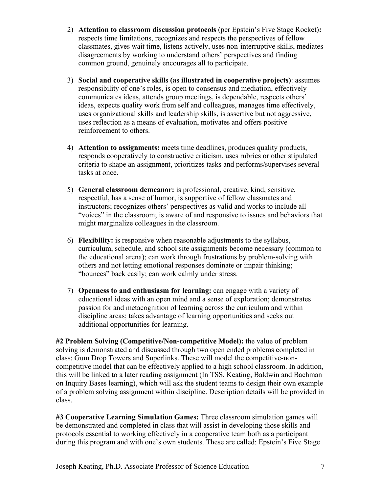- 2) **Attention to classroom discussion protocols** (per Epstein's Five Stage Rocket)**:** respects time limitations, recognizes and respects the perspectives of fellow classmates, gives wait time, listens actively, uses non-interruptive skills, mediates disagreements by working to understand others' perspectives and finding common ground, genuinely encourages all to participate.
- 3) **Social and cooperative skills (as illustrated in cooperative projects)**: assumes responsibility of one's roles, is open to consensus and mediation, effectively communicates ideas, attends group meetings, is dependable, respects others' ideas, expects quality work from self and colleagues, manages time effectively, uses organizational skills and leadership skills, is assertive but not aggressive, uses reflection as a means of evaluation, motivates and offers positive reinforcement to others.
- 4) **Attention to assignments:** meets time deadlines, produces quality products, responds cooperatively to constructive criticism, uses rubrics or other stipulated criteria to shape an assignment, prioritizes tasks and performs/supervises several tasks at once.
- 5) **General classroom demeanor:** is professional, creative, kind, sensitive, respectful, has a sense of humor, is supportive of fellow classmates and instructors; recognizes others' perspectives as valid and works to include all "voices" in the classroom; is aware of and responsive to issues and behaviors that might marginalize colleagues in the classroom.
- 6) **Flexibility:** is responsive when reasonable adjustments to the syllabus, curriculum, schedule, and school site assignments become necessary (common to the educational arena); can work through frustrations by problem-solving with others and not letting emotional responses dominate or impair thinking; "bounces" back easily; can work calmly under stress.
- 7) **Openness to and enthusiasm for learning:** can engage with a variety of educational ideas with an open mind and a sense of exploration; demonstrates passion for and metacognition of learning across the curriculum and within discipline areas; takes advantage of learning opportunities and seeks out additional opportunities for learning.

**#2 Problem Solving (Competitive/Non-competitive Model):** the value of problem solving is demonstrated and discussed through two open ended problems completed in class: Gum Drop Towers and Superlinks. These will model the competitive-noncompetitive model that can be effectively applied to a high school classroom. In addition, this will be linked to a later reading assignment (In TSS, Keating, Baldwin and Bachman on Inquiry Bases learning), which will ask the student teams to design their own example of a problem solving assignment within discipline. Description details will be provided in class.

**#3 Cooperative Learning Simulation Games:** Three classroom simulation games will be demonstrated and completed in class that will assist in developing those skills and protocols essential to working effectively in a cooperative team both as a participant during this program and with one's own students. These are called: Epstein's Five Stage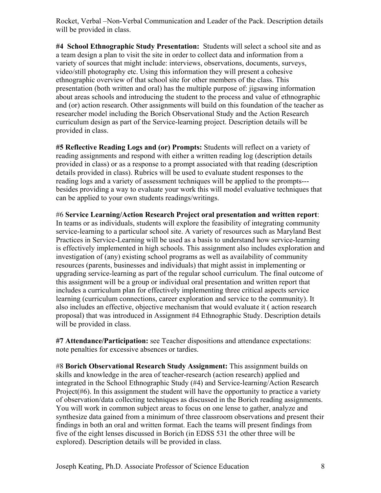Rocket, Verbal –Non-Verbal Communication and Leader of the Pack. Description details will be provided in class.

**#4 School Ethnographic Study Presentation:** Students will select a school site and as a team design a plan to visit the site in order to collect data and information from a variety of sources that might include: interviews, observations, documents, surveys, video/still photography etc. Using this information they will present a cohesive ethnographic overview of that school site for other members of the class. This presentation (both written and oral) has the multiple purpose of: jigsawing information about areas schools and introducing the student to the process and value of ethnographic and (or) action research. Other assignments will build on this foundation of the teacher as researcher model including the Borich Observational Study and the Action Research curriculum design as part of the Service-learning project. Description details will be provided in class.

**#5 Reflective Reading Logs and (or) Prompts:** Students will reflect on a variety of reading assignments and respond with either a written reading log (description details provided in class) or as a response to a prompt associated with that reading (description details provided in class). Rubrics will be used to evaluate student responses to the reading logs and a variety of assessment techniques will be applied to the prompts-- besides providing a way to evaluate your work this will model evaluative techniques that can be applied to your own students readings/writings.

#6 **Service Learning/Action Research Project oral presentation and written report**: In teams or as individuals, students will explore the feasibility of integrating community service-learning to a particular school site. A variety of resources such as Maryland Best Practices in Service-Learning will be used as a basis to understand how service-learning is effectively implemented in high schools. This assignment also includes exploration and investigation of (any) existing school programs as well as availability of community resources (parents, businesses and individuals) that might assist in implementing or upgrading service-learning as part of the regular school curriculum. The final outcome of this assignment will be a group or individual oral presentation and written report that includes a curriculum plan for effectively implementing three critical aspects service learning (curriculum connections, career exploration and service to the community). It also includes an effective, objective mechanism that would evaluate it ( action research proposal) that was introduced in Assignment #4 Ethnographic Study. Description details will be provided in class.

**#7 Attendance/Participation:** see Teacher dispositions and attendance expectations: note penalties for excessive absences or tardies.

#8 **Borich Observational Research Study Assignment:** This assignment builds on skills and knowledge in the area of teacher-research (action research) applied and integrated in the School Ethnographic Study (#4) and Service-learning/Action Research Project( $#6$ ). In this assignment the student will have the opportunity to practice a variety of observation/data collecting techniques as discussed in the Borich reading assignments. You will work in common subject areas to focus on one lense to gather, analyze and synthesize data gained from a minimum of three classroom observations and present their findings in both an oral and written format. Each the teams will present findings from five of the eight lenses discussed in Borich (in EDSS 531 the other three will be explored). Description details will be provided in class.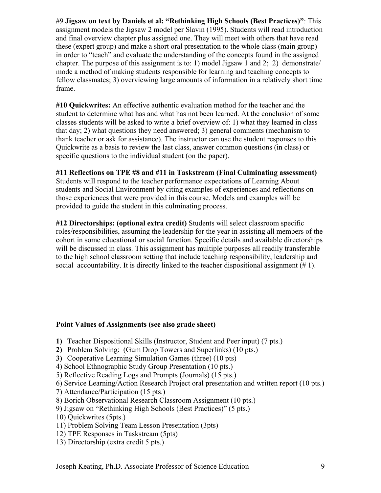#9 **Jigsaw on text by Daniels et al: "Rethinking High Schools (Best Practices)"**: This assignment models the Jigsaw 2 model per Slavin (1995). Students will read introduction and final overview chapter plus assigned one. They will meet with others that have read these (expert group) and make a short oral presentation to the whole class (main group) in order to "teach" and evaluate the understanding of the concepts found in the assigned chapter. The purpose of this assignment is to: 1) model Jigsaw 1 and 2; 2) demonstrate/ mode a method of making students responsible for learning and teaching concepts to fellow classmates; 3) overviewing large amounts of information in a relatively short time frame.

**#10 Quickwrites:** An effective authentic evaluation method for the teacher and the student to determine what has and what has not been learned. At the conclusion of some classes students will be asked to write a brief overview of: 1) what they learned in class that day; 2) what questions they need answered; 3) general comments (mechanism to thank teacher or ask for assistance). The instructor can use the student responses to this Quickwrite as a basis to review the last class, answer common questions (in class) or specific questions to the individual student (on the paper).

### **#11 Reflections on TPE #8 and #11 in Taskstream (Final Culminating assessment)**

Students will respond to the teacher performance expectations of Learning About students and Social Environment by citing examples of experiences and reflections on those experiences that were provided in this course. Models and examples will be provided to guide the student in this culminating process.

**#12 Directorships: (optional extra credit)** Students will select classroom specific roles/responsibilities, assuming the leadership for the year in assisting all members of the cohort in some educational or social function. Specific details and available directorships will be discussed in class. This assignment has multiple purposes all readily transferable to the high school classroom setting that include teaching responsibility, leadership and social accountability. It is directly linked to the teacher dispositional assignment (# 1).

### **Point Values of Assignments (see also grade sheet)**

- **1)** Teacher Dispositional Skills (Instructor, Student and Peer input) (7 pts.)
- **2)** Problem Solving: (Gum Drop Towers and Superlinks) (10 pts.)
- **3)** Cooperative Learning Simulation Games (three) (10 pts)
- 4) School Ethnographic Study Group Presentation (10 pts.)
- 5) Reflective Reading Logs and Prompts (Journals) (15 pts.)
- 6) Service Learning/Action Research Project oral presentation and written report (10 pts.)
- 7) Attendance/Participation (15 pts.)
- 8) Borich Observational Research Classroom Assignment (10 pts.)
- 9) Jigsaw on "Rethinking High Schools (Best Practices)" (5 pts.)
- 10) Quickwrites (5pts.)
- 11) Problem Solving Team Lesson Presentation (3pts)
- 12) TPE Responses in Taskstream (5pts)
- 13) Directorship (extra credit 5 pts.)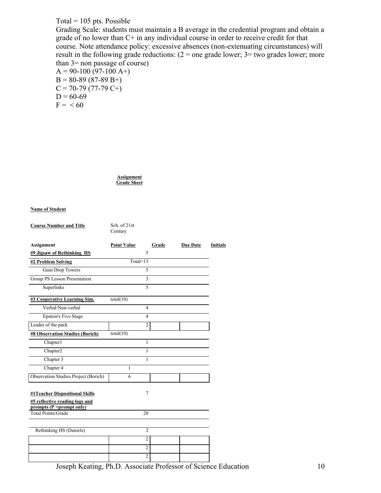### Total =  $105$  pts. Possible

Grading Scale: students must maintain a B average in the credential program and obtain a grade of no lower than C+ in any individual course in order to receive credit for that course. Note attendance policy: excessive absences (non-extenuating circumstances) will result in the following grade reductions:  $(2 = one$  grade lower;  $3 = two$  grades lower; more than 3= non passage of course)

 $A = 90-100 (97-100 A+)$  $B = 80-89(87-89 B+$  $C = 70-79(77-79 C+)$  $D = 60-69$  $F = < 60$ 

> **Assignment Grade Sheet**

#### **Name of Student**

**Course Number and Title** Sch. of 21st

|                                                             | Century            |       |                 |                 |
|-------------------------------------------------------------|--------------------|-------|-----------------|-----------------|
| Assignment                                                  | <b>Point Value</b> | Grade | <b>Due Date</b> | <b>Initials</b> |
| #9 Jigsaw of Rethinking HS                                  | 5                  |       |                 |                 |
| #2 Problem Solving                                          | $Total=13$         |       |                 |                 |
| Gum Drop Towers                                             | 5                  |       |                 |                 |
| Group PS Lesson Presentation                                | $\overline{3}$     |       |                 |                 |
| Superlinks                                                  | 5                  |       |                 |                 |
| #3 Cooperative Learning Sim.                                | total(10)          |       |                 |                 |
| Verbal/Non-verbal                                           | 4                  |       |                 |                 |
| <b>Epstein's Five Stage</b>                                 | $\overline{4}$     |       |                 |                 |
| Leader of the pack                                          | $\overline{c}$     |       |                 |                 |
| <b>#8 Observation Studies (Borich)</b>                      | total(10)          |       |                 |                 |
| Chapter1                                                    | 1                  |       |                 |                 |
| Chapter2                                                    | 1                  |       |                 |                 |
| Chapter 3                                                   | 1                  |       |                 |                 |
| Chapter 4                                                   | 1                  |       |                 |                 |
| Observation Studies Project (Borich)                        | 6                  |       |                 |                 |
| #1Teacher Dispositional Skills                              | 7                  |       |                 |                 |
| #5 reflective reading logs and<br>prompts (P = prompt only) |                    |       |                 |                 |
| <b>Total Points/Grade</b>                                   | 20                 |       |                 |                 |
|                                                             |                    |       |                 |                 |
| Rethinking HS (Daniels)                                     | $\overline{c}$     |       |                 |                 |
|                                                             | $\overline{2}$     |       |                 |                 |
|                                                             | $\overline{2}$     |       |                 |                 |
|                                                             | $\overline{c}$     |       |                 |                 |